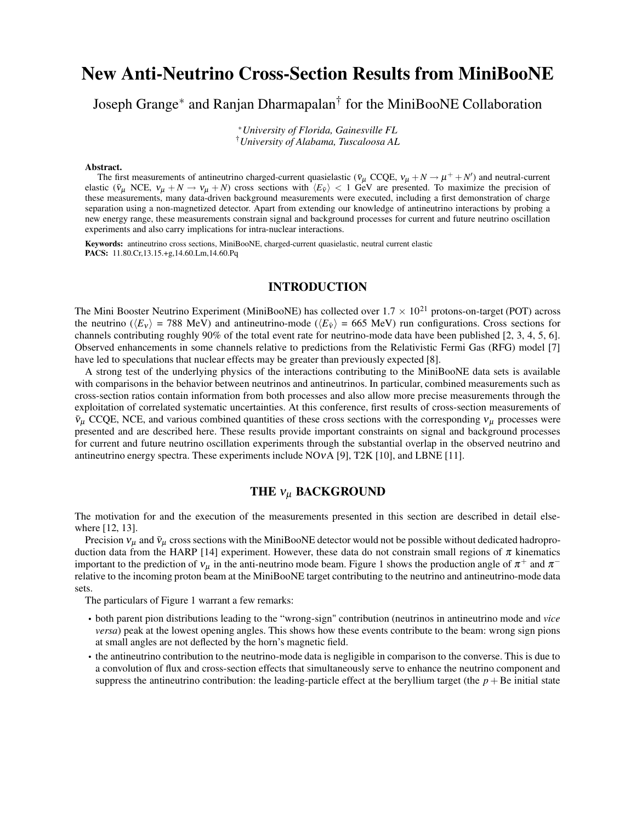# **New Anti-Neutrino Cross-Section Results from MiniBooNE**

Joseph Grange<sup>∗</sup> and Ranjan Dharmapalan† for the MiniBooNE Collaboration

<sup>∗</sup>*University of Florida, Gainesville FL* †*University of Alabama, Tuscaloosa AL*

#### **Abstract.**

The first measurements of antineutrino charged-current quasielastic ( $\bar{v}_\mu$  CCQE,  $v_\mu + N \to \mu^+ + N'$ ) and neutral-current elastic ( $\bar{v}_{\mu}$  NCE,  $v_{\mu} + N \rightarrow v_{\mu} + N$ ) cross sections with  $\langle E_{\bar{v}} \rangle$  < 1 GeV are presented. To maximize the precision of these measurements, many data-driven background measurements were executed, including a first demonstration of charge separation using a non-magnetized detector. Apart from extending our knowledge of antineutrino interactions by probing a new energy range, these measurements constrain signal and background processes for current and future neutrino oscillation experiments and also carry implications for intra-nuclear interactions.

**Keywords:** antineutrino cross sections, MiniBooNE, charged-current quasielastic, neutral current elastic **PACS:** 11.80.Cr,13.15.+g,14.60.Lm,14.60.Pq

### **INTRODUCTION**

The Mini Booster Neutrino Experiment (MiniBooNE) has collected over  $1.7 \times 10^{21}$  protons-on-target (POT) across the neutrino ( $\langle E_v \rangle$  = 788 MeV) and antineutrino-mode ( $\langle E_{\bar{v}} \rangle$  = 665 MeV) run configurations. Cross sections for channels contributing roughly 90% of the total event rate for neutrino-mode data have been published [2, 3, 4, 5, 6]. Observed enhancements in some channels relative to predictions from the Relativistic Fermi Gas (RFG) model [7] have led to speculations that nuclear effects may be greater than previously expected [8].

A strong test of the underlying physics of the interactions contributing to the MiniBooNE data sets is available with comparisons in the behavior between neutrinos and antineutrinos. In particular, combined measurements such as cross-section ratios contain information from both processes and also allow more precise measurements through the exploitation of correlated systematic uncertainties. At this conference, first results of cross-section measurements of  $\bar{v}_\mu$  CCQE, NCE, and various combined quantities of these cross sections with the corresponding  $v_\mu$  processes were presented and are described here. These results provide important constraints on signal and background processes for current and future neutrino oscillation experiments through the substantial overlap in the observed neutrino and antineutrino energy spectra. These experiments include NOνA [9], T2K [10], and LBNE [11].

### **THE** <sup>ν</sup><sup>µ</sup> **BACKGROUND**

The motivation for and the execution of the measurements presented in this section are described in detail elsewhere [12, 13].

Precision  $v_\mu$  and  $\bar{v}_\mu$  cross sections with the MiniBooNE detector would not be possible without dedicated hadroproduction data from the HARP [14] experiment. However, these data do not constrain small regions of  $\pi$  kinematics important to the prediction of  $v_\mu$  in the anti-neutrino mode beam. Figure 1 shows the production angle of  $\pi^+$  and  $\pi^$ relative to the incoming proton beam at the MiniBooNE target contributing to the neutrino and antineutrino-mode data sets.

The particulars of Figure 1 warrant a few remarks:

- both parent pion distributions leading to the "wrong-sign" contribution (neutrinos in antineutrino mode and *vice versa*) peak at the lowest opening angles. This shows how these events contribute to the beam: wrong sign pions at small angles are not deflected by the horn's magnetic field.
- the antineutrino contribution to the neutrino-mode data is negligible in comparison to the converse. This is due to a convolution of flux and cross-section effects that simultaneously serve to enhance the neutrino component and suppress the antineutrino contribution: the leading-particle effect at the beryllium target (the  $p + Be$  initial state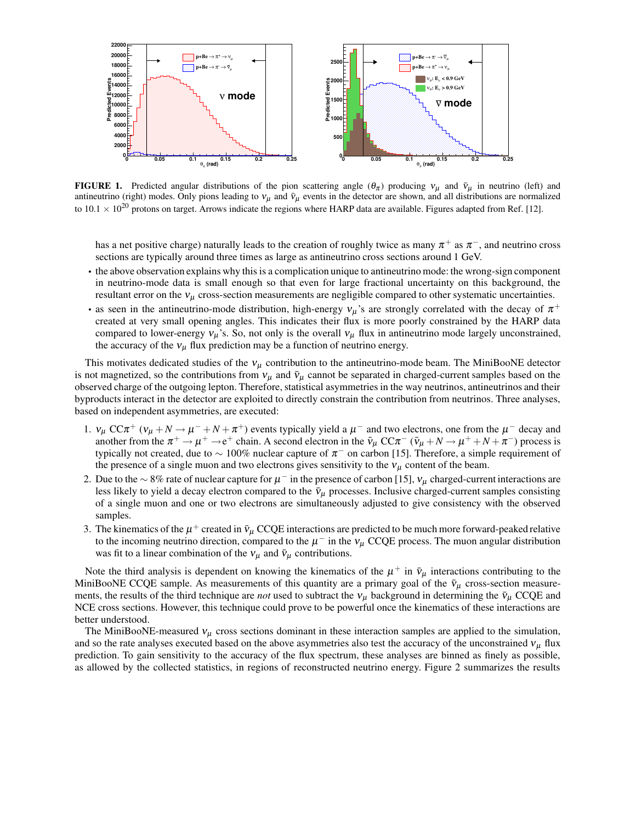

**FIGURE 1.** Predicted angular distributions of the pion scattering angle  $(\theta_\pi)$  producing  $v_\mu$  and  $\bar{v}_\mu$  in neutrino (left) and antineutrino (right) modes. Only pions leading to  $v_\mu$  and  $\bar{v}_\mu$  events in the detector are shown, and all distributions are normalized to  $10.1 \times 10^{20}$  protons on target. Arrows indicate the regions where HARP data are available. Figures adapted from Ref. [12].

has a net positive charge) naturally leads to the creation of roughly twice as many  $\pi^+$  as  $\pi^-$ , and neutrino cross sections are typically around three times as large as antineutrino cross sections around 1 GeV.

- the above observation explains why this is a complication unique to antineutrino mode: the wrong-sign component in neutrino-mode data is small enough so that even for large fractional uncertainty on this background, the resultant error on the  $v_{\mu}$  cross-section measurements are negligible compared to other systematic uncertainties.
- as seen in the antineutrino-mode distribution, high-energy  $v_\mu$ 's are strongly correlated with the decay of  $\pi^+$ created at very small opening angles. This indicates their flux is more poorly constrained by the HARP data compared to lower-energy  $v_{\mu}$ 's. So, not only is the overall  $v_{\mu}$  flux in antineutrino mode largely unconstrained, the accuracy of the  $v_{\mu}$  flux prediction may be a function of neutrino energy.

This motivates dedicated studies of the  $v_{\mu}$  contribution to the antineutrino-mode beam. The MiniBooNE detector is not magnetized, so the contributions from  $v_{\mu}$  and  $\bar{v}_{\mu}$  cannot be separated in charged-current samples based on the observed charge of the outgoing lepton. Therefore, statistical asymmetries in the way neutrinos, antineutrinos and their byproducts interact in the detector are exploited to directly constrain the contribution from neutrinos. Three analyses, based on independent asymmetries, are executed:

- 1.  $v_\mu$  CC $\pi^+$  ( $v_\mu + N \to \mu^- + N + \pi^+$ ) events typically yield a  $\mu^-$  and two electrons, one from the  $\mu^-$  decay and another from the  $\pi^+ \to \mu^+ \to e^+$  chain. A second electron in the  $\bar{v}_\mu$  CC $\pi^-$  ( $\bar{v}_\mu + N \to \mu^+ + N + \pi^-$ ) process is typically not created, due to  $\sim 100\%$  nuclear capture of  $\pi^-$  on carbon [15]. Therefore, a simple requirement of the presence of a single muon and two electrons gives sensitivity to the  $v_{\mu}$  content of the beam.
- 2. Due to the  $\sim 8\%$  rate of nuclear capture for  $\mu^-$  in the presence of carbon [15],  $v_\mu$  charged-current interactions are less likely to yield a decay electron compared to the  $\bar{v}_{\mu}$  processes. Inclusive charged-current samples consisting of a single muon and one or two electrons are simultaneously adjusted to give consistency with the observed samples.
- 3. The kinematics of the  $\mu^+$  created in  $\bar{v}_\mu$  CCQE interactions are predicted to be much more forward-peaked relative to the incoming neutrino direction, compared to the  $\mu^-$  in the  $v_\mu$  CCQE process. The muon angular distribution was fit to a linear combination of the  $v_{\mu}$  and  $\bar{v}_{\mu}$  contributions.

Note the third analysis is dependent on knowing the kinematics of the  $\mu^+$  in  $\bar{v}_\mu$  interactions contributing to the MiniBooNE CCQE sample. As measurements of this quantity are a primary goal of the  $\bar{v}_{\mu}$  cross-section measurements, the results of the third technique are *not* used to subtract the  $v_\mu$  background in determining the  $\bar{v}_\mu$  CCQE and NCE cross sections. However, this technique could prove to be powerful once the kinematics of these interactions are better understood.

The MiniBooNE-measured  $v_{\mu}$  cross sections dominant in these interaction samples are applied to the simulation, and so the rate analyses executed based on the above asymmetries also test the accuracy of the unconstrained  $v_\mu$  flux prediction. To gain sensitivity to the accuracy of the flux spectrum, these analyses are binned as finely as possible, as allowed by the collected statistics, in regions of reconstructed neutrino energy. Figure 2 summarizes the results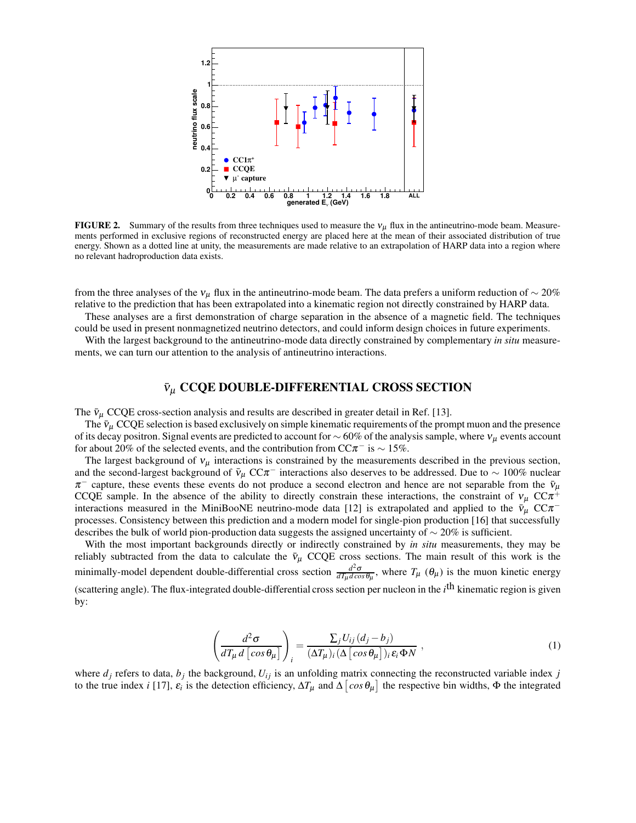

**FIGURE 2.** Summary of the results from three techniques used to measure the  $v_\mu$  flux in the antineutrino-mode beam. Measurements performed in exclusive regions of reconstructed energy are placed here at the mean of their associated distribution of true energy. Shown as a dotted line at unity, the measurements are made relative to an extrapolation of HARP data into a region where no relevant hadroproduction data exists.

from the three analyses of the  $v_\mu$  flux in the antineutrino-mode beam. The data prefers a uniform reduction of ~ 20% relative to the prediction that has been extrapolated into a kinematic region not directly constrained by HARP data.

These analyses are a first demonstration of charge separation in the absence of a magnetic field. The techniques could be used in present nonmagnetized neutrino detectors, and could inform design choices in future experiments.

With the largest background to the antineutrino-mode data directly constrained by complementary *in situ* measurements, we can turn our attention to the analysis of antineutrino interactions.

### <sup>ν</sup>¯<sup>µ</sup> **CCQE DOUBLE-DIFFERENTIAL CROSS SECTION**

The  $\bar{v}_{\mu}$  CCQE cross-section analysis and results are described in greater detail in Ref. [13].

The  $\bar{v}_\mu$  CCQE selection is based exclusively on simple kinematic requirements of the prompt muon and the presence of its decay positron. Signal events are predicted to account for  $\sim$  60% of the analysis sample, where  $v_\mu$  events account for about 20% of the selected events, and the contribution from  $CC\pi^-$  is  $\sim 15\%$ .

The largest background of  $v_{\mu}$  interactions is constrained by the measurements described in the previous section, and the second-largest background of  $\bar{v}_{\mu}$  CC $\pi^{-}$  interactions also deserves to be addressed. Due to ~ 100% nuclear  $\pi^-$  capture, these events these events do not produce a second electron and hence are not separable from the  $\bar{v}_\mu$ CCQE sample. In the absence of the ability to directly constrain these interactions, the constraint of  $v_\mu$  CC $\pi^+$ interactions measured in the MiniBooNE neutrino-mode data [12] is extrapolated and applied to the  $\bar{v}_{\mu}$  CC $\pi^$ processes. Consistency between this prediction and a modern model for single-pion production [16] that successfully describes the bulk of world pion-production data suggests the assigned uncertainty of  $\sim$  20% is sufficient.

With the most important backgrounds directly or indirectly constrained by *in situ* measurements, they may be reliably subtracted from the data to calculate the  $\bar{v}_{\mu}$  CCQE cross sections. The main result of this work is the minimally-model dependent double-differential cross section  $\frac{d^2σ}{dx dca}$  $\frac{d^2\sigma}{dT_\mu d\cos\theta_\mu}$ , where  $T_\mu$  ( $\theta_\mu$ ) is the muon kinetic energy (scattering angle). The flux-integrated double-differential cross section per nucleon in the *i*<sup>th</sup> kinematic region is given by:

$$
\left(\frac{d^2\sigma}{dT_{\mu} d\left[\cos\theta_{\mu}\right]}\right)_i = \frac{\sum_j U_{ij} (d_j - b_j)}{(\Delta T_{\mu})_i (\Delta \left[\cos\theta_{\mu}\right])_i \varepsilon_i \Phi N} ,
$$
\n(1)

where  $d_j$  refers to data,  $b_j$  the background,  $U_{ij}$  is an unfolding matrix connecting the reconstructed variable index  $j$ to the true index *i* [17],  $\varepsilon_i$  is the detection efficiency,  $\Delta T_\mu$  and  $\Delta [\cos \theta_\mu]$  the respective bin widths,  $\Phi$  the integrated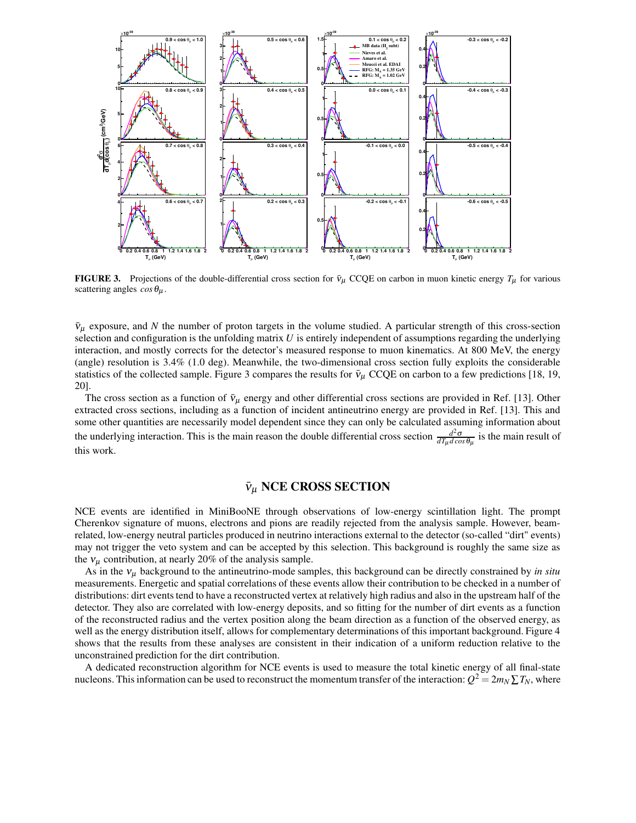

**FIGURE 3.** Projections of the double-differential cross section for  $\bar{v}_{\mu}$  CCQE on carbon in muon kinetic energy  $T_{\mu}$  for various scattering angles  $\cos\theta_\mu$ .

 $\bar{v}_{\mu}$  exposure, and N the number of proton targets in the volume studied. A particular strength of this cross-section selection and configuration is the unfolding matrix *U* is entirely independent of assumptions regarding the underlying interaction, and mostly corrects for the detector's measured response to muon kinematics. At 800 MeV, the energy (angle) resolution is 3.4% (1.0 deg). Meanwhile, the two-dimensional cross section fully exploits the considerable statistics of the collected sample. Figure 3 compares the results for  $\bar{v}_{\mu}$  CCQE on carbon to a few predictions [18, 19, 20].

The cross section as a function of  $\bar{v}_{\mu}$  energy and other differential cross sections are provided in Ref. [13]. Other extracted cross sections, including as a function of incident antineutrino energy are provided in Ref. [13]. This and some other quantities are necessarily model dependent since they can only be calculated assuming information about the underlying interaction. This is the main reason the double differential cross section  $\frac{d^2\sigma}{d\vec{x} \cdot d\cos\theta}$  $\frac{d^2\sigma}{dT_\mu d\cos\theta_\mu}$  is the main result of this work.

## $ν$ <sub>μ</sub> NCE CROSS SECTION

NCE events are identified in MiniBooNE through observations of low-energy scintillation light. The prompt Cherenkov signature of muons, electrons and pions are readily rejected from the analysis sample. However, beamrelated, low-energy neutral particles produced in neutrino interactions external to the detector (so-called "dirt" events) may not trigger the veto system and can be accepted by this selection. This background is roughly the same size as the  $v_{\mu}$  contribution, at nearly 20% of the analysis sample.

As in the  $v_{\mu}$  background to the antineutrino-mode samples, this background can be directly constrained by *in situ* measurements. Energetic and spatial correlations of these events allow their contribution to be checked in a number of distributions: dirt events tend to have a reconstructed vertex at relatively high radius and also in the upstream half of the detector. They also are correlated with low-energy deposits, and so fitting for the number of dirt events as a function of the reconstructed radius and the vertex position along the beam direction as a function of the observed energy, as well as the energy distribution itself, allows for complementary determinations of this important background. Figure 4 shows that the results from these analyses are consistent in their indication of a uniform reduction relative to the unconstrained prediction for the dirt contribution.

A dedicated reconstruction algorithm for NCE events is used to measure the total kinetic energy of all final-state nucleons. This information can be used to reconstruct the momentum transfer of the interaction:  $Q^2 = 2m_N \sum T_N$ , where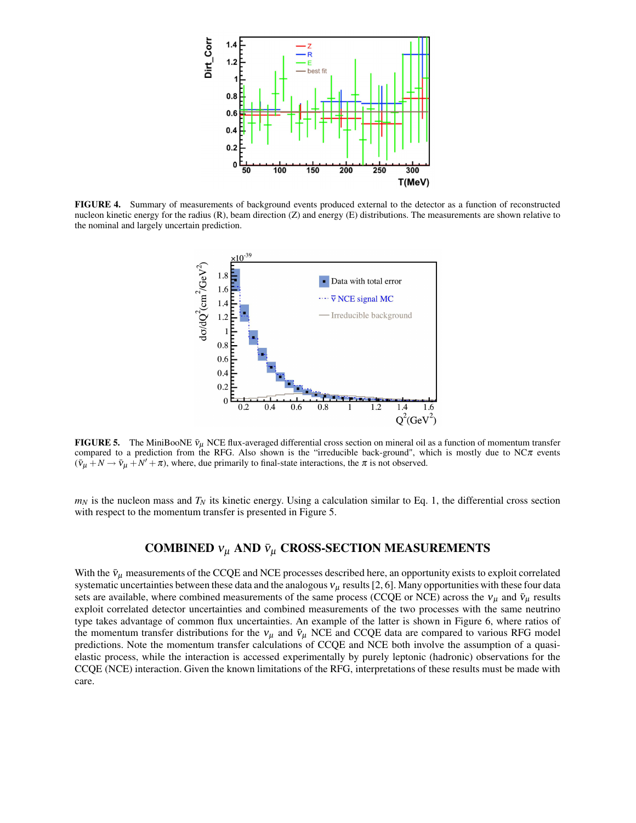

**FIGURE 4.** Summary of measurements of background events produced external to the detector as a function of reconstructed nucleon kinetic energy for the radius (R), beam direction (Z) and energy (E) distributions. The measurements are shown relative to the nominal and largely uncertain prediction.



**FIGURE 5.** The MiniBooNE  $\bar{v}_{\mu}$  NCE flux-averaged differential cross section on mineral oil as a function of momentum transfer compared to a prediction from the RFG. Also shown is the "irreducible back-ground", which is mostly due to  $NC\pi$  events  $(\bar{v}_{\mu} + N \rightarrow \bar{v}_{\mu} + N' + \pi)$ , where, due primarily to final-state interactions, the  $\pi$  is not observed.

 $m_N$  is the nucleon mass and  $T_N$  its kinetic energy. Using a calculation similar to Eq. 1, the differential cross section with respect to the momentum transfer is presented in Figure 5.

## **COMBINED**  $v_{\mu}$  AND  $\bar{v}_{\mu}$  **CROSS-SECTION MEASUREMENTS**

With the  $\bar{v}_{\mu}$  measurements of the CCQE and NCE processes described here, an opportunity exists to exploit correlated systematic uncertainties between these data and the analogous  $v_\mu$  results [2, 6]. Many opportunities with these four data sets are available, where combined measurements of the same process (CCQE or NCE) across the  $v_{\mu}$  and  $\bar{v}_{\mu}$  results exploit correlated detector uncertainties and combined measurements of the two processes with the same neutrino type takes advantage of common flux uncertainties. An example of the latter is shown in Figure 6, where ratios of the momentum transfer distributions for the  $v_{\mu}$  and  $\bar{v}_{\mu}$  NCE and CCQE data are compared to various RFG model predictions. Note the momentum transfer calculations of CCQE and NCE both involve the assumption of a quasielastic process, while the interaction is accessed experimentally by purely leptonic (hadronic) observations for the CCQE (NCE) interaction. Given the known limitations of the RFG, interpretations of these results must be made with care.